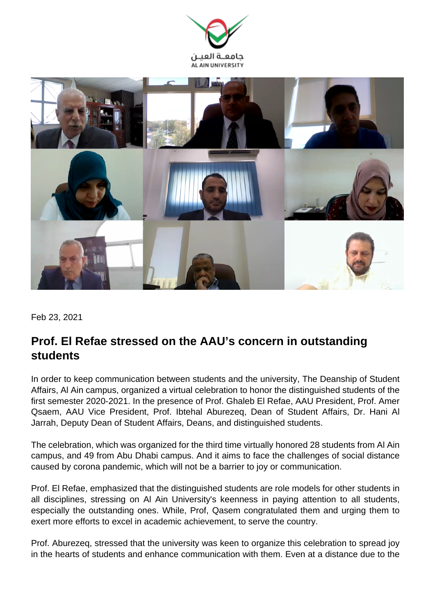



Feb 23, 2021

## **Prof. El Refae stressed on the AAU's concern in outstanding students**

In order to keep communication between students and the university, The Deanship of Student Affairs, Al Ain campus, organized a virtual celebration to honor the distinguished students of the first semester 2020-2021. In the presence of Prof. Ghaleb El Refae, AAU President, Prof. Amer Qsaem, AAU Vice President, Prof. Ibtehal Aburezeq, Dean of Student Affairs, Dr. Hani Al Jarrah, Deputy Dean of Student Affairs, Deans, and distinguished students.

The celebration, which was organized for the third time virtually honored 28 students from Al Ain campus, and 49 from Abu Dhabi campus. And it aims to face the challenges of social distance caused by corona pandemic, which will not be a barrier to joy or communication.

Prof. El Refae, emphasized that the distinguished students are role models for other students in all disciplines, stressing on Al Ain University's keenness in paying attention to all students, especially the outstanding ones. While, Prof, Qasem congratulated them and urging them to exert more efforts to excel in academic achievement, to serve the country.

Prof. Aburezeq, stressed that the university was keen to organize this celebration to spread joy in the hearts of students and enhance communication with them. Even at a distance due to the